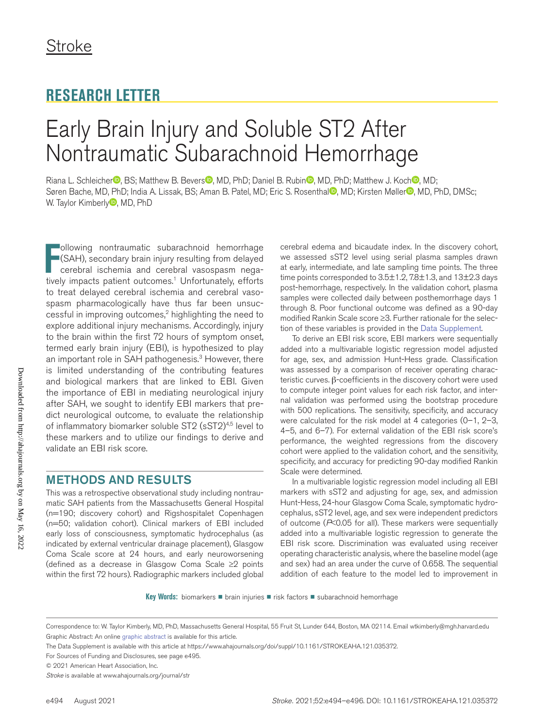## **RESEARCH LETTER**

# Early Brain Injury and Soluble ST2 After Nontraumatic Subarachnoid Hemorrhage

Riana L. Schleiche[r](https://orcid.org/0000-0002-3743-7922)<sup>®</sup>[,](https://orcid.org/0000-0001-6982-9587) BS; Matthew B. Bevers<sup>®</sup>, MD, PhD; Daniel B. Rubin<sup>®</sup>, MD, PhD; Matthew J. Koch<sup>®</sup>, MD; Søren Bache, MD, PhD; India A. Lissak, BS; Aman B. Pate[l](https://orcid.org/0000-0003-3900-356X), MD; Eric S. Rosenthal<sup>o</sup>, MD; Kirsten Møller<sup>o</sup>, MD, PhD, DMSc; W. Ta[y](https://orcid.org/0000-0002-2519-8530)lor Kimberly<sup>D</sup>, MD, PhD

Following nontraumatic subarachnoid hemorrhage (SAH), secondary brain injury resulting from delayed cerebral ischemia and cerebral vasospasm negatively impacts patient outcomes.<sup>1</sup> Unfortunately, efforts ollowing nontraumatic subarachnoid hemorrhage (SAH), secondary brain injury resulting from delayed cerebral ischemia and cerebral vasospasm negato treat delayed cerebral ischemia and cerebral vasospasm pharmacologically have thus far been unsuccessful in improving outcomes,2 highlighting the need to explore additional injury mechanisms. Accordingly, injury to the brain within the first 72 hours of symptom onset, termed early brain injury (EBI), is hypothesized to play an important role in SAH pathogenesis.<sup>3</sup> However, there is limited understanding of the contributing features and biological markers that are linked to EBI. Given the importance of EBI in mediating neurological injury after SAH, we sought to identify EBI markers that predict neurological outcome, to evaluate the relationship of inflammatory biomarker soluble ST2 (sST2)<sup>4,5</sup> level to these markers and to utilize our findings to derive and validate an EBI risk score.

#### METHODS AND RESULTS

This was a retrospective observational study including nontraumatic SAH patients from the Massachusetts General Hospital (n=190; discovery cohort) and Rigshospitalet Copenhagen (n=50; validation cohort). Clinical markers of EBI included early loss of consciousness, symptomatic hydrocephalus (as indicated by external ventricular drainage placement), Glasgow Coma Scale score at 24 hours, and early neuroworsening (defined as a decrease in Glasgow Coma Scale ≥2 points within the first 72 hours). Radiographic markers included global

cerebral edema and bicaudate index. In the discovery cohort, we assessed sST2 level using serial plasma samples drawn at early, intermediate, and late sampling time points. The three time points corresponded to  $3.5\pm1.2$ ,  $7.8\pm1.3$ , and  $13\pm2.3$  days post-hemorrhage, respectively. In the validation cohort, plasma samples were collected daily between posthemorrhage days 1 through 8. Poor functional outcome was defined as a 90-day modified Rankin Scale score ≥3. Further rationale for the selection of these variables is provided in the [Data Supplement.](https://www.ahajournals.org/doi/suppl/10.1161/STROKEAHA.121.035372)

To derive an EBI risk score, EBI markers were sequentially added into a multivariable logistic regression model adjusted for age, sex, and admission Hunt-Hess grade. Classification was assessed by a comparison of receiver operating characteristic curves. β-coefficients in the discovery cohort were used to compute integer point values for each risk factor, and internal validation was performed using the bootstrap procedure with 500 replications. The sensitivity, specificity, and accuracy were calculated for the risk model at 4 categories (0–1, 2–3, 4–5, and 6–7). For external validation of the EBI risk score's performance, the weighted regressions from the discovery cohort were applied to the validation cohort, and the sensitivity, specificity, and accuracy for predicting 90-day modified Rankin Scale were determined.

In a multivariable logistic regression model including all EBI markers with sST2 and adjusting for age, sex, and admission Hunt-Hess, 24-hour Glasgow Coma Scale, symptomatic hydrocephalus, sST2 level, age, and sex were independent predictors of outcome (*P*<0.05 for all). These markers were sequentially added into a multivariable logistic regression to generate the EBI risk score. Discrimination was evaluated using receiver operating characteristic analysis, where the baseline model (age and sex) had an area under the curve of 0.658. The sequential addition of each feature to the model led to improvement in

**Key Words:** biomarkers ■ brain injuries ■ risk factors ■ subarachnoid hemorrhage

Correspondence to: W. Taylor Kimberly, MD, PhD, Massachusetts General Hospital, 55 Fruit St, Lunder 644, Boston, MA 02114. Email [wtkimberly@mgh.harvard.edu](mailto:wtkimberly@mgh.harvard.edu) Graphic Abstract: An online [graphic abstract](http://dx.doi.org/10.1161/STROKEAHA.121.035372) is available for this article.

The Data Supplement is available with this article at [https://www.ahajournals.org/doi/suppl/10.1161/STROKEAHA.121.035372.](https://www.ahajournals.org/doi/suppl/10.1161/STROKEAHA.121.035372)

For Sources of Funding and Disclosures, see page e495.

<sup>© 2021</sup> American Heart Association, Inc.

*Stroke* is available at www.ahajournals.org/journal/str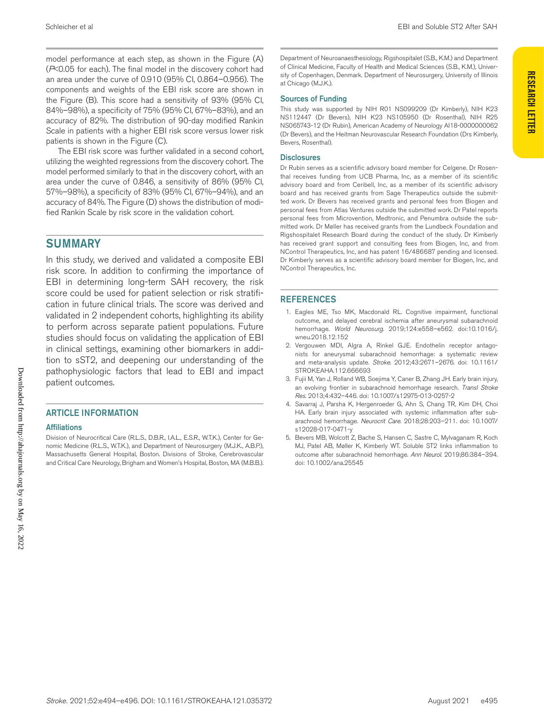model performance at each step, as shown in the Figure (A) (*P*<0.05 for each). The final model in the discovery cohort had an area under the curve of 0.910 (95% CI, 0.864–0.956). The components and weights of the EBI risk score are shown in the Figure (B). This score had a sensitivity of 93% (95% CI, 84%–98%), a specificity of 75% (95% CI, 67%–83%), and an accuracy of 82%. The distribution of 90-day modified Rankin Scale in patients with a higher EBI risk score versus lower risk patients is shown in the Figure (C).

The EBI risk score was further validated in a second cohort, utilizing the weighted regressions from the discovery cohort. The model performed similarly to that in the discovery cohort, with an area under the curve of 0.846, a sensitivity of 86% (95% CI, 57%–98%), a specificity of 83% (95% CI, 67%–94%), and an accuracy of 84%. The Figure (D) shows the distribution of modified Rankin Scale by risk score in the validation cohort.

### **SUMMARY**

In this study, we derived and validated a composite EBI risk score. In addition to confirming the importance of EBI in determining long-term SAH recovery, the risk score could be used for patient selection or risk stratification in future clinical trials. The score was derived and validated in 2 independent cohorts, highlighting its ability to perform across separate patient populations. Future studies should focus on validating the application of EBI in clinical settings, examining other biomarkers in addition to sST2, and deepening our understanding of the pathophysiologic factors that lead to EBI and impact patient outcomes.

#### ARTICLE INFORMATION

#### **Affiliations**

Division of Neurocritical Care (R.L.S., D.B.R., I.A.L., E.S.R., W.T.K.), Center for Genomic Medicine (R.L.S., W.T.K.), and Department of Neurosurgery (M.J.K., A.B.P.), Massachusetts General Hospital, Boston. Divisions of Stroke, Cerebrovascular and Critical Care Neurology, Brigham and Women's Hospital, Boston, MA (M.B.B.).

Department of Neuroanaesthesiology, Rigshospitalet (S.B., K.M.) and Department of Clinical Medicine, Faculty of Health and Medical Sciences (S.B., K.M.), University of Copenhagen, Denmark. Department of Neurosurgery, University of Illinois at Chicago (M.J.K.).

#### Sources of Funding

This study was supported by NIH R01 NS099209 (Dr Kimberly), NIH K23 NS112447 (Dr Bevers), NIH K23 NS105950 (Dr Rosenthal), NIH R25 NS065743-12 (Dr Rubin), American Academy of Neurology AI18-0000000062 (Dr Bevers), and the Heitman Neurovascular Research Foundation (Drs Kimberly, Bevers, Rosenthal).

#### **Disclosures**

Dr Rubin serves as a scientific advisory board member for Celgene. Dr Rosenthal receives funding from UCB Pharma, Inc, as a member of its scientific advisory board and from Ceribell, Inc, as a member of its scientific advisory board and has received grants from Sage Therapeutics outside the submitted work. Dr Bevers has received grants and personal fees from Biogen and personal fees from Atlas Ventures outside the submitted work. Dr Patel reports personal fees from Microvention, Medtronic, and Penumbra outside the submitted work. Dr Møller has received grants from the Lundbeck Foundation and Rigshospitalet Research Board during the conduct of the study. Dr Kimberly has received grant support and consulting fees from Biogen, Inc, and from NControl Therapeutics, Inc, and has patent 16/486687 pending and licensed. Dr Kimberly serves as a scientific advisory board member for Biogen, Inc, and NControl Therapeutics, Inc.

#### REFERENCES

- 1. Eagles ME, Tso MK, Macdonald RL. Cognitive impairment, functional outcome, and delayed cerebral ischemia after aneurysmal subarachnoid hemorrhage. *World Neurosurg*. 2019;124:e558–e562. doi:10.1016/j. wneu.2018.12.152
- 2. Vergouwen MDI, Algra A, Rinkel GJE. Endothelin receptor antagonists for aneurysmal subarachnoid hemorrhage: a systematic review and meta-analysis update. *Stroke*. 2012;43:2671–2676. doi: 10.1161/ STROKEAHA.112.666693
- 3. Fujii M, Yan J, Rolland WB, Soejima Y, Caner B, Zhang JH. Early brain injury, an evolving frontier in subarachnoid hemorrhage research. *Transl Stroke Res*. 2013;4:432–446. doi: 10.1007/s12975-013-0257-2
- 4. Savarraj J, Parsha K, Hergenroeder G, Ahn S, Chang TR, Kim DH, Choi HA. Early brain injury associated with systemic inflammation after subarachnoid hemorrhage. *Neurocrit Care*. 2018;28:203–211. doi: 10.1007/ s12028-017-0471-y
- 5. Bevers MB, Wolcott Z, Bache S, Hansen C, Sastre C, Mylvaganam R, Koch MJ, Patel AB, Møller K, Kimberly WT. Soluble ST2 links inflammation to outcome after subarachnoid hemorrhage. *Ann Neurol*. 2019;86:384–394. doi: 10.1002/ana.25545